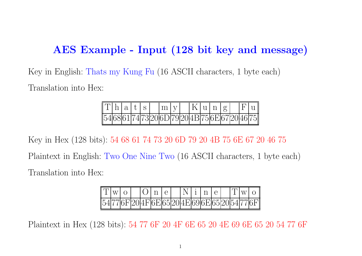# AES Example - Input (128 bit key and message)

Key in English: Thats my Kung Fu (16 ASCII characters, <sup>1</sup> byte each) Translation into Hex:

| $\vert \Gamma \vert h \vert$ a $\vert t \vert s \vert$ |  |  | $\lfloor m \rfloor$ V                                          |  |  | K u n g |  | F u |
|--------------------------------------------------------|--|--|----------------------------------------------------------------|--|--|---------|--|-----|
|                                                        |  |  | 54  68  61  74  73  20  6D  79  20  4B  75  6E  67  20  46  75 |  |  |         |  |     |

Key in Hex (128 bits): <sup>54</sup> <sup>68</sup> <sup>61</sup> <sup>74</sup> <sup>73</sup> <sup>20</sup> 6D <sup>79</sup> <sup>20</sup> 4B <sup>75</sup> 6E <sup>67</sup> <sup>20</sup> <sup>46</sup> <sup>75</sup> Plaintext in English: Two One Nine Two (16 ASCII characters, <sup>1</sup> byte each) Translation into Hex:

| $\ T _{W}\ _{\Omega}$ |  |  |  |  |  |  |  |                                                             |
|-----------------------|--|--|--|--|--|--|--|-------------------------------------------------------------|
|                       |  |  |  |  |  |  |  | $\parallel$ 54 77 6F 20 4F 6E 65 20 4E 69 6E 65 20 54 77 6F |

Plaintext in Hex (128 bits): <sup>54</sup> <sup>77</sup> 6F <sup>20</sup> 4F 6E <sup>65</sup> <sup>20</sup> 4E <sup>69</sup> 6E <sup>65</sup> <sup>20</sup> <sup>54</sup> <sup>77</sup> 6F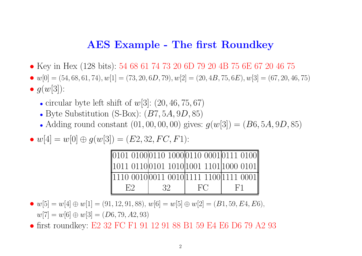#### AES Example - The first Roundkey

- Key in Hex (128 bits): <sup>54</sup> <sup>68</sup> <sup>61</sup> <sup>74</sup> <sup>73</sup> <sup>20</sup> 6D <sup>79</sup> <sup>20</sup> 4B <sup>75</sup> 6E <sup>67</sup> <sup>20</sup> <sup>46</sup> <sup>75</sup>
- $w[0] = (54, 68, 61, 74), w[1] = (73, 20, 6D, 79), w[2] = (20, 4B, 75, 6E), w[3] = (67, 20, 46, 75)$
- $\bullet$   $g(w[3])$ :
	- circular byte left shift of  $w[3]$ :  $(20, 46, 75, 67)$
	- Byte Substitution (S-Box):  $(B7, 5A, 9D, 85)$
	- Adding round constant  $(01, 00, 00, 00)$  gives:  $g(w[3]) = (B6, 5A, 9D, 85)$
- $w[4] = w[0] \oplus g(w[3]) = (E2, 32, FC, F1)$ :

| $\parallel$ 0101 0100 0110 1000 0110 0001 0111 0100                                     |    |    |                |
|-----------------------------------------------------------------------------------------|----|----|----------------|
| $\parallel$ 1011 0110 0101 1010 $\parallel$ 1001 1101 $\parallel$ 1000 0101 $\parallel$ |    |    |                |
| 1110 0010  0011 0010  1111 1100  1111 0001                                              |    |    |                |
| E2                                                                                      | 32 | FC | F <sup>1</sup> |

- $w[5] = w[4] \oplus w[1] = (91, 12, 91, 88), w[6] = w[5] \oplus w[2] = (B1, 59, E4, E6),$  $w[7] = w[6] \oplus w[3] = (D6, 79, A2, 93)$
- first roundkey: E2 32 FC F1 91 12 91 88 B1 59 E4 E6 D6 79 A2 93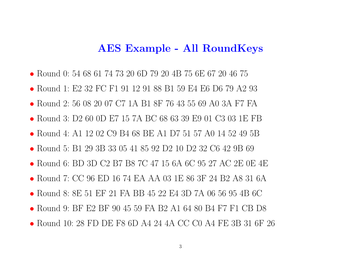#### AES Example - All RoundKeys

- Round 0: 54 68 61 74 73 20 6D 79 20 4B 75 6E 67 20 46 75
- Round 1: E2 32 FC F1 91 12 91 88 B1 59 E4 E6 D6 79 A2 93
- Round 2: 56 08 20 07 C7 1A B1 8F 76 43 55 69 A0 3A F7 FA
- Round 3: D2 60 0D E7 15 7A BC 68 63 39 E9 01 C3 03 1E FB
- Round 4: A1 12 02 C9 B4 68 BE A1 D7 51 57 A0 14 52 49 5B
- Round 5: B1 29 3B 33 05 41 85 92 D2 10 D2 32 C6 42 9B 69
- Round 6: BD 3D C2 B7 B8 7C 47 15 6A 6C 95 27 AC 2E 0E 4E
- Round 7: CC 96 ED 16 74 EA AA 03 1E 86 3F 24 B2 A8 31 6A
- Round 8: 8E 51 EF 21 FA BB 45 22 E4 3D 7A 06 56 95 4B 6C
- Round 9: BF E2 BF 90 45 59 FA B2 A1 64 80 B4 F7 F1 CB D8
- Round 10: 28 FD DE F8 6D A4 24 4A CC C0 A4 FE 3B 31 6F 26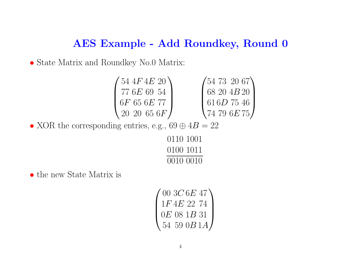#### AES Example - Add Roundkey, Round 0

• State Matrix and Roundkey No.0 Matrix:



• XOR the corresponding entries, e.g.,  $69 \oplus 4B = 22$ 

| 0110 1001 |  |
|-----------|--|
| (1100111  |  |
| 0010 0010 |  |

• the new State Matrix is

$$
\begin{pmatrix} 00 \ 3C \ 6E \ 47 \\ 1F \ 4E \ 22 \ 74 \\ 0E \ 08 \ 1B \ 31 \\ 54 \ 59 \ 0B \ 1A \end{pmatrix}
$$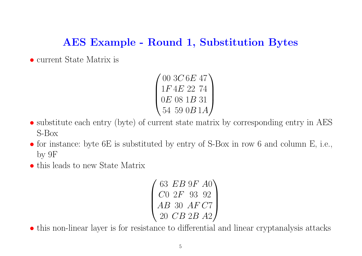# AES Example - Round 1, Substitution Bytes

• current State Matrix is

 $\begin{pmatrix} 00 & 3C & 6E & 47 \ 1F & 4E & 22 & 74 \ 0E & 08 & 1B & 31 \ 54 & 59 & 0B & 1A \end{pmatrix}$ 

- substitute each entry (byte) of current state matrix by corresponding entry in AES S-Box
- for instance: byte 6E is substituted by entry of S-Box in row 6 and column E, i.e., by 9F
- this leads to new State Matrix

```
\left(\begin{array}{ccc} 63 & EB & 9F & A0 \ C0 & 2F & 93 & 92 \ AB & 30 & AF & C7 \ 20 & CB & 2B & A2 \end{array}\right)
```
• this non-linear layer is for resistance to differential and linear cryptanalysis attacks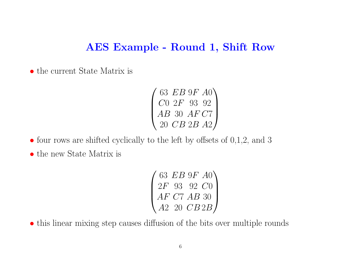#### AES Example - Round 1, Shift Row

• the current State Matrix is

 $\left( \begin{array}{ccc} 63 & EB & 9F & A0 \ C0 & 2F & 93 & 92 \ AB & 30 & AF & C7 \ 20 & CB & 2B & A2 \end{array} \right)$ 

• four rows are shifted cyclically to the left by offsets of  $0,1,2$ , and 3

• the new State Matrix is

 $\begin{pmatrix} 63 \ 2F \ 93 \ 92 \ C0 \ AF \ C7 \ AB \ 30 \ A2 \ 20 \ CB2B \end{pmatrix}$ 

• this linear mixing step causes diffusion of the bits over multiple rounds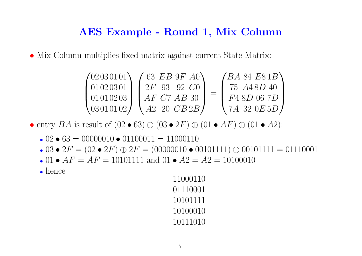#### AES Example - Round 1, Mix Column

• Mix Column multiplies fixed matrix against current State Matrix:

| (02030101)     | 63 $EB$ 9F $A0$          | $\overline{AB}$ 84 $E$ 81 $\overline{B}$ |
|----------------|--------------------------|------------------------------------------|
| 01020301       | $2F$ 93 92 $C_0$         | 75 <i>A</i> 48 <i>D</i> 40               |
| 01010203       | $AF$ C7 AB 30            | F <sub>4</sub> 8D 06 7D                  |
| $0.03010102$ / | $A2 \quad 20 \quad CB2B$ | (7 <i>A 32 0E 5D  </i>                   |

• entry  $BA$  is result of  $(02 \bullet 63) \oplus (03 \bullet 2F) \oplus (01 \bullet AF) \oplus (01 \bullet A2)$ :

- 02 63 = 00000010 01100011 = 11000110
- 03 2 $F = (02$  2 $F) \oplus 2F = (00000010$  00101111)  $\oplus$  00101111 = 01110001
- 01  $AF = AF = 10101111$  and 01  $A2 = A2 = 10100010$
- hence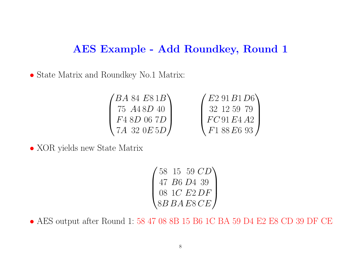# AES Example - Add Roundkey, Round 1

• State Matrix and Roundkey No.1 Matrix:

| $'BA$ 84 $E81B$ | $\begin{pmatrix} E2 & 91 & B1 & D6 \\ 32 & 12 & 59 & 79 \end{pmatrix}$ |
|-----------------|------------------------------------------------------------------------|
| 75 A48D 40      |                                                                        |
| F4 8D 06 7D     | FC91E4A2                                                               |
| $7A$ 32 $0E5D/$ | $\left(F188E693\right)$                                                |

• XOR yields new State Matrix

|  | $'58\;15\;59\;CD$ |
|--|-------------------|
|  | 47 B6 D4 39       |
|  | 08 1C E2 DF       |
|  | 8BBAESCE/         |

• AES output after Round 1: 58 47 08 8B 15 B6 1C BA 59 D4 E2 E8 CD 39 DF CE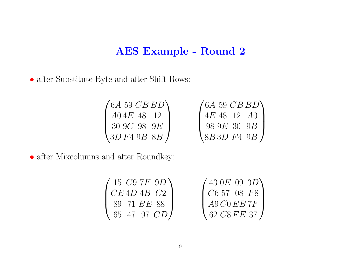• after Substitute Byte and after Shift Rows:

 $\begin{pmatrix} 6A & 59 & CB & BD \\ A0 & 4E & 48 & 12 \\ 30 & 9C & 98 & 9E \\ 3D & F4 & 9B & 8B \end{pmatrix} \hspace{1cm} \begin{pmatrix} 6A & 59 & CB & BD \\ 4E & 48 & 12 & A0 \\ 98 & 9E & 30 & 9B \\ 8B & 3D & F4 & 9B \end{pmatrix}$ 

| $(15 \text{ } C9 \text{ } 7F \text{ } 9D)$ | (430E093D)                       |
|--------------------------------------------|----------------------------------|
| CE4D4B C2                                  | $\int C65708$ F8                 |
| 89 71 BE 88                                | AGCOEB7F                         |
| 65 47 97 CD I                              | , 62 $\emph{CSFE}$ 37 $\emph{I}$ |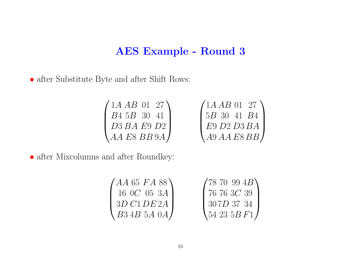• after Substitute Byte and after Shift Rows:

 $\begin{pmatrix} 1A & AB & 01 & 27 \\ B4 & 5B & 30 & 41 \\ D3 & BA & E9 & D2 \\ AA & EB & BB & 9A \end{pmatrix} \hspace{1cm} \begin{pmatrix} 1A & AB & 01 & 27 \\ 5B & 30 & 41 & B4 \\ E9 & D2 & D3 & BA \\ A9 & AA & E8 & BB \end{pmatrix}$ 

| (AA 65 FA 88)       | (7870994B)               |
|---------------------|--------------------------|
| $16 \t0C \t05 \t3A$ | $\int 76\; 76\; 3C\; 39$ |
| 3D C1DE2A           | 1307D3734                |
| $\set{B34B}$ 5A 0A/ | $\set{54\ 23\ 5B\ F1}$   |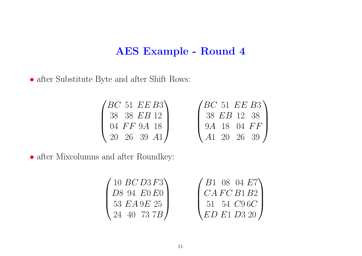• after Substitute Byte and after Shift Rows:

 $\begin{pmatrix} BC & 51 & EE & B3 \\ 38 & 38 & EB & 12 \\ 04 & FF & 9A & 18 \\ 20 & 26 & 39 & A1 \end{pmatrix}$ 

| $\sqrt{BC}$ 51 $EE$ B3 |             |  |
|------------------------|-------------|--|
|                        | 38 EB 12 38 |  |
|                        | 9A 18 04 FF |  |
|                        | A1 20 26 39 |  |

| (10~BCD3F3)          |                                                                                                              |  |
|----------------------|--------------------------------------------------------------------------------------------------------------|--|
| D8 94 E0 E0          |                                                                                                              |  |
| 53 $E A 9E 25$       |                                                                                                              |  |
| $\sqrt{24}$ 40 73 7B | $\begin{pmatrix} B1 & 08 & 04 & E7 \\ CA\ FC\ B1\ B2 \\ 51 & 54 & C9\ 6C \\ ED\ E1\ D3\ 20 \\ \end{pmatrix}$ |  |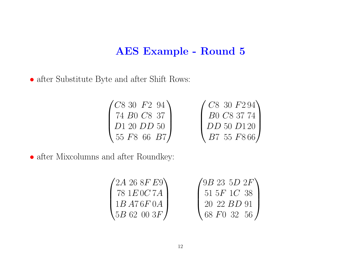• after Substitute Byte and after Shift Rows:

| $\sqrt{C830} F294$                  | $\sqrt{C8}$ 30 $F294$                             |
|-------------------------------------|---------------------------------------------------|
| 74 B <sub>0</sub> C <sub>8</sub> 37 | $\frac{1}{2}$ B <sub>0</sub> C <sub>8</sub> 37 74 |
| D1 20 D D 50                        | $\big $ DD 50 D120                                |
| $\sqrt{55}F866B7$                   | $\binom{B7}{55}$ F866                             |

| $(2A\;26\;8F\;E9)$ |                                                                        |  |  |
|--------------------|------------------------------------------------------------------------|--|--|
| 78 $1E0C7A$        | $\begin{pmatrix} 9B & 23 & 5D & 2F \\ 51 & 5F & 1C & 38 \end{pmatrix}$ |  |  |
| 1B A76F0A          | $1202B$ D 91                                                           |  |  |
| $5B$ 62 00 3 $F/$  | $\sqrt{68 F}03256$                                                     |  |  |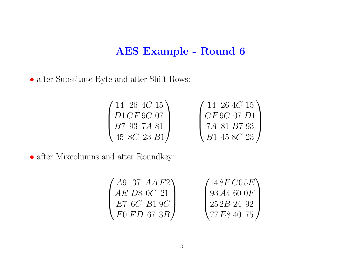• after Substitute Byte and after Shift Rows:

| $(14\ 26\ 4C\ 15)$            | $(14\;26\;4C\;15)$         |
|-------------------------------|----------------------------|
| D1CF9C07                      | CF9C07D1                   |
| <i>B</i> 7 93 7 <i>A</i> 81   | 7A 81 B7 93                |
| $\left(45\;8C\;23\;B1\right)$ | $\binom{B1\ 45\ 8C\ 23}{}$ |

| $($ A9 37 $AAF2)$ | $(148F\,C05E)$       |
|-------------------|----------------------|
| $AE$ D8 0C 21     | $\frac{93A4600F}{ }$ |
| $E7$ 6C $B1$ 9C   | 1252B2492            |
| F0FD673B/         | $\sqrt{77E84075}$    |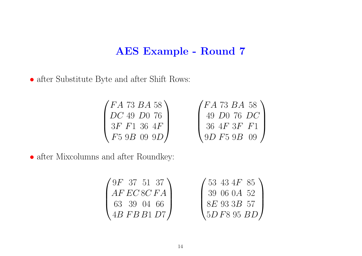• after Substitute Byte and after Shift Rows:

 $\begin{pmatrix} FA & 73 & BA & 58 \ DC & 49 & D0 & 76 \ 3F & F1 & 36 & 4F \ F5 & 9B & 09 & 9D \end{pmatrix} \hspace{1cm} \begin{pmatrix} FA & 73 & BA & 58 \ 49 & D0 & 76 & DC \ 36 & 4F & 3F & F1 \ 9D & F5 & 9B & 09 \end{pmatrix}$ 

| $(9F\ 37\ 51\ 37)$ | $/53$ 43 4F 85                             |
|--------------------|--------------------------------------------|
| $AF \, ECSC \, FA$ | 139060A52                                  |
| 63 39 04 66        | 8E933B57                                   |
| 4BFBB1D7           | $\left\langle 5D\,F8\,95\,BD\right\rangle$ |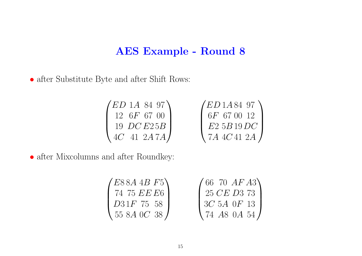• after Substitute Byte and after Shift Rows:

$$
\begin{pmatrix}\nED \ 1A \ 84 \ 97 \\
12 \ 6F \ 67 \ 00 \\
19 \ DC \ E25B \\
4C \ 41 \ 2A \ 7A\n\end{pmatrix}\n\qquad\n\begin{pmatrix}\nED \ 1A \ 84 \ 97 \\
6F \ 67 \ 00 \ 12 \\
E2 \ 5B \ 19 \ DC \\
7A \ 4C \ 41 \ 2A\n\end{pmatrix}
$$

$$
\begin{pmatrix}\nE88A & 4B & F5 \\
74 & 75 & EE & E6 \\
D31F & 75 & 58 \\
55 & 8A & 0C & 38\n\end{pmatrix}\n\qquad\n\begin{pmatrix}\n66 & 70 & AF & A3 \\
25 & CE & D3 & 73 \\
3C & 5A & 0F & 13 \\
74 & A8 & 0A & 54\n\end{pmatrix}
$$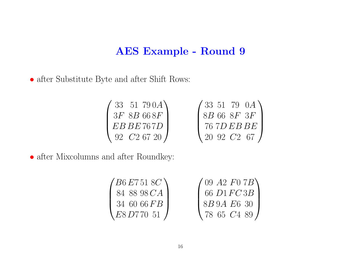• after Substitute Byte and after Shift Rows:

 $\begin{pmatrix} 33 & 51 & 79\,0A \ 3F & 8B\,66\,8F \ EBBE\,76\,7D \ 92 & C2\,67\,20 \end{pmatrix} \qquad \qquad \begin{pmatrix} 33 & 51 & 79\ & 0A \ 8B\,66\ & 8F\,3F \ 76\,7D\,EB\,BE \ 20\ & 92\,C2\,67 \end{pmatrix}$ 

| /B6 E7 51 8C     | $(09 \; A2 \; F0 \; 7B)$     |
|------------------|------------------------------|
| 84 88 98 CA      | 66 D1 FC 3B                  |
| $34\;60\;66\,FB$ | 8 <i>B</i> 9 <i>A E</i> 6 30 |
| E8D77051         | 78 65 $C4$ 89 /              |